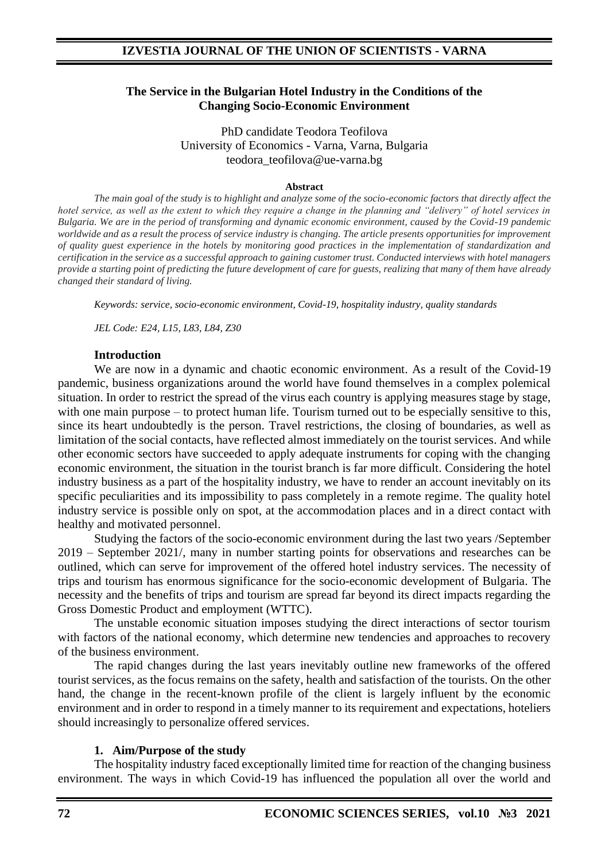## **The Service in the Bulgarian Hotel Industry in the Conditions of the Changing Socio-Economic Environment**

PhD candidate Teodora Teofilova University of Economics - Varna, Varna, Bulgaria teodora\_teofilova@ue-varna.bg

#### **Abstract**

*The main goal of the study is to highlight and analyze some of the socio-economic factors that directly affect the hotel service, as well as the extent to which they require a change in the planning and "delivery" of hotel services in Bulgaria. We are in the period of transforming and dynamic economic environment, caused by the Covid-19 pandemic worldwide and as a result the process of service industry is changing. The article presents opportunities for improvement of quality guest experience in the hotels by monitoring good practices in the implementation of standardization and certification in the service as a successful approach to gaining customer trust. Conducted interviews with hotel managers provide a starting point of predicting the future development of care for guests, realizing that many of them have already changed their standard of living.*

*Keywords: service, socio-economic environment, Covid-19, hospitality industry, quality standards*

*JEL Code: E24, L15, L83, L84, Z30*

#### **Introduction**

We are now in a dynamic and chaotic economic environment. As a result of the Covid-19 pandemic, business organizations around the world have found themselves in a complex polemical situation. In order to restrict the spread of the virus each country is applying measures stage by stage, with one main purpose – to protect human life. Tourism turned out to be especially sensitive to this, since its heart undoubtedly is the person. Travel restrictions, the closing of boundaries, as well as limitation of the social contacts, have reflected almost immediately on the tourist services. And while other economic sectors have succeeded to apply adequate instruments for coping with the changing economic environment, the situation in the tourist branch is far more difficult. Considering the hotel industry business as a part of the hospitality industry, we have to render an account inevitably on its specific peculiarities and its impossibility to pass completely in a remote regime. The quality hotel industry service is possible only on spot, at the accommodation places and in a direct contact with healthy and motivated personnel.

Studying the factors of the socio-economic environment during the last two years /September 2019 – September 2021/, many in number starting points for observations and researches can be outlined, which can serve for improvement of the offered hotel industry services. The necessity of trips and tourism has enormous significance for the socio-economic development of Bulgaria. The necessity and the benefits of trips and tourism are spread far beyond its direct impacts regarding the Gross Domestic Product and employment (WTTC).

The unstable economic situation imposes studying the direct interactions of sector tourism with factors of the national economy, which determine new tendencies and approaches to recovery of the business environment.

The rapid changes during the last years inevitably outline new frameworks of the offered tourist services, as the focus remains on the safety, health and satisfaction of the tourists. On the other hand, the change in the recent-known profile of the client is largely influent by the economic environment and in order to respond in a timely manner to its requirement and expectations, hoteliers should increasingly to personalize offered services.

#### **1. Aim/Purpose of the study**

The hospitality industry faced exceptionally limited time for reaction of the changing business environment. The ways in which Covid-19 has influenced the population all over the world and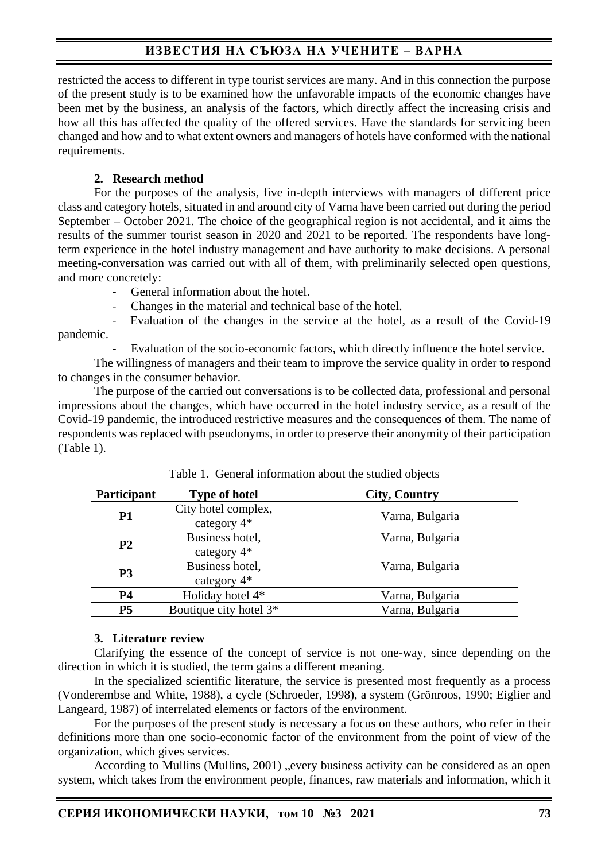restricted the access to different in type tourist services are many. And in this connection the purpose of the present study is to be examined how the unfavorable impacts of the economic changes have been met by the business, an analysis of the factors, which directly affect the increasing crisis and how all this has affected the quality of the offered services. Have the standards for servicing been changed and how and to what extent owners and managers of hotels have conformed with the national requirements.

## **2. Research method**

For the purposes of the analysis, five in-depth interviews with managers of different price class and category hotels, situated in and around city of Varna have been carried out during the period September – October 2021. The choice of the geographical region is not accidental, and it aims the results of the summer tourist season in 2020 and 2021 to be reported. The respondents have longterm experience in the hotel industry management and have authority to make decisions. A personal meeting-conversation was carried out with all of them, with preliminarily selected open questions, and more concretely:

- General information about the hotel.
- Changes in the material and technical base of the hotel.

Evaluation of the changes in the service at the hotel, as a result of the Covid-19 pandemic.

Evaluation of the socio-economic factors, which directly influence the hotel service.

The willingness of managers and their team to improve the service quality in order to respond to changes in the consumer behavior.

The purpose of the carried out conversations is to be collected data, professional and personal impressions about the changes, which have occurred in the hotel industry service, as a result of the Covid-19 pandemic, the introduced restrictive measures and the consequences of them. The name of respondents was replaced with pseudonyms, in order to preserve their anonymity of their participation (Table 1).

| Participant    | <b>Type of hotel</b>               | <b>City, Country</b> |
|----------------|------------------------------------|----------------------|
| <b>P1</b>      | City hotel complex,<br>category 4* | Varna, Bulgaria      |
| P <sub>2</sub> | Business hotel,<br>category $4*$   | Varna, Bulgaria      |
| P <sub>3</sub> | Business hotel,<br>category $4*$   | Varna, Bulgaria      |
| <b>P4</b>      | Holiday hotel 4*                   | Varna, Bulgaria      |
| <b>P5</b>      | Boutique city hotel 3 <sup>*</sup> | Varna, Bulgaria      |

Table 1. General information about the studied objects

#### **3. Literature review**

Clarifying the essence of the concept of service is not one-way, since depending on the direction in which it is studied, the term gains a different meaning.

In the specialized scientific literature, the service is presented most frequently as a process (Vonderembse and White, 1988), a cycle (Schroeder, 1998), a system (Grönroos, 1990; Eiglier and Langeard, 1987) of interrelated elements or factors of the environment.

For the purposes of the present study is necessary a focus on these authors, who refer in their definitions more than one socio-economic factor of the environment from the point of view of the organization, which gives services.

According to Mullins (Mullins, 2001) "every business activity can be considered as an open system, which takes from the environment people, finances, raw materials and information, which it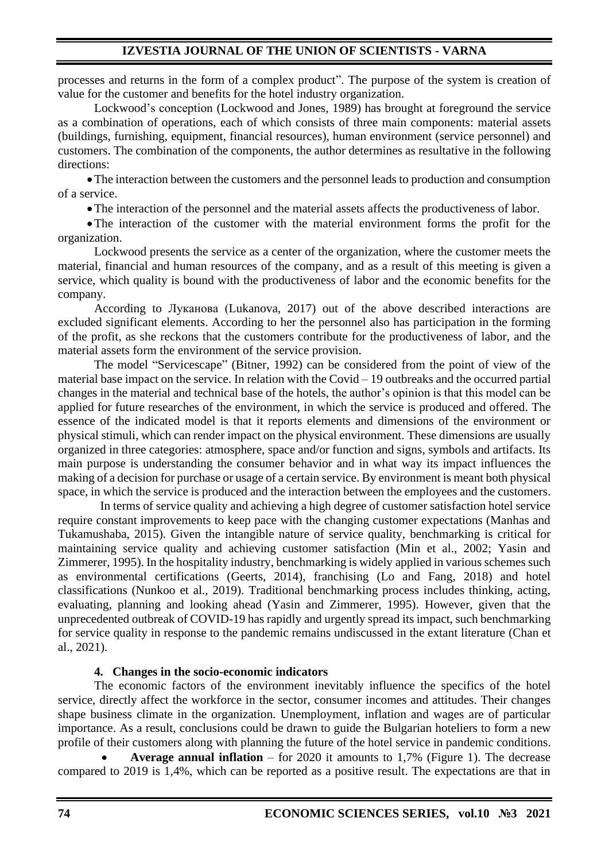processes and returns in the form of a complex product". The purpose of the system is creation of value for the customer and benefits for the hotel industry organization.

Lockwood's conception (Lockwood and Jones, 1989) has brought at foreground the service as a combination of operations, each of which consists of three main components: material assets (buildings, furnishing, equipment, financial resources), human environment (service personnel) and customers. The combination of the components, the author determines as resultative in the following directions:

•The interaction between the customers and the personnel leads to production and consumption of a service.

•The interaction of the personnel and the material assets affects the productiveness of labor.

•The interaction of the customer with the material environment forms the profit for the organization.

Lockwood presents the service as a center of the organization, where the customer meets the material, financial and human resources of the company, and as a result of this meeting is given a service, which quality is bound with the productiveness of labor and the economic benefits for the company.

According to Луканова (Lukanova, 2017) out of the above described interactions are excluded significant elements. According to her the personnel also has participation in the forming of the profit, as she reckons that the customers contribute for the productiveness of labor, and the material assets form the environment of the service provision.

The model "Servicescape" (Bitner, 1992) can be considered from the point of view of the material base impact on the service. In relation with the Covid – 19 outbreaks and the occurred partial changes in the material and technical base of the hotels, the author's opinion is that this model can be applied for future researches of the environment, in which the service is produced and offered. The essence of the indicated model is that it reports elements and dimensions of the environment or physical stimuli, which can render impact on the physical environment. These dimensions are usually organized in three categories: atmosphere, space and/or function and signs, symbols and artifacts. Its main purpose is understanding the consumer behavior and in what way its impact influences the making of a decision for purchase or usage of a certain service. By environment is meant both physical space, in which the service is produced and the interaction between the employees and the customers.

In terms of service quality and achieving a high degree of customer satisfaction hotel service require constant improvements to keep pace with the changing customer expectations (Manhas and Tukamushaba, 2015). Given the intangible nature of service quality, benchmarking is critical for maintaining service quality and achieving customer satisfaction (Min et al., 2002; Yasin and Zimmerer, 1995). In the hospitality industry, benchmarking is widely applied in various schemes such as environmental certifications (Geerts, 2014), franchising (Lo and Fang, 2018) and hotel classifications (Nunkoo et al., 2019). Traditional benchmarking process includes thinking, acting, evaluating, planning and looking ahead (Yasin and Zimmerer, 1995). However, given that the unprecedented outbreak of COVID-19 has rapidly and urgently spread its impact, such benchmarking for service quality in response to the pandemic remains undiscussed in the extant literature (Chan et al., 2021).

### **4. Changes in the socio-economic indicators**

The economic factors of the environment inevitably influence the specifics of the hotel service, directly affect the workforce in the sector, consumer incomes and attitudes. Their changes shape business climate in the organization. Unemployment, inflation and wages are of particular importance. As a result, conclusions could be drawn to guide the Bulgarian hoteliers to form a new profile of their customers along with planning the future of the hotel service in pandemic conditions.

• **Average annual inflation** – for 2020 it amounts to 1,7% (Figure 1). The decrease compared to 2019 is 1,4%, which can be reported as a positive result. The expectations are that in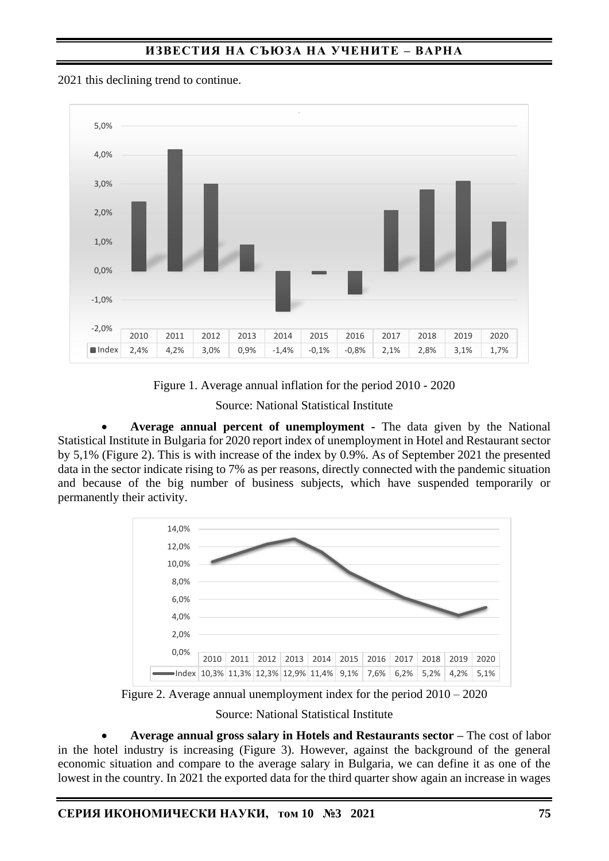

2021 this declining trend to continue.

Figure 1. Average annual inflation for the period 2010 - 2020

Source: National Statistical Institute

• **Average annual percent of unemployment -** The data given by the National Statistical Institute in Bulgaria for 2020 report index of unemployment in Hotel and Restaurant sector by 5,1% (Figure 2). This is with increase of the index by 0.9%. As of September 2021 the presented data in the sector indicate rising to 7% as per reasons, directly connected with the pandemic situation and because of the big number of business subjects, which have suspended temporarily or permanently their activity.



Figure 2. Average annual unemployment index for the period 2010 – 2020

Source: National Statistical Institute

• **Average annual gross salary in Hotels and Restaurants sector –** The cost of labor in the hotel industry is increasing (Figure 3). However, against the background of the general economic situation and compare to the average salary in Bulgaria, we can define it as one of the lowest in the country. In 2021 the exported data for the third quarter show again an increase in wages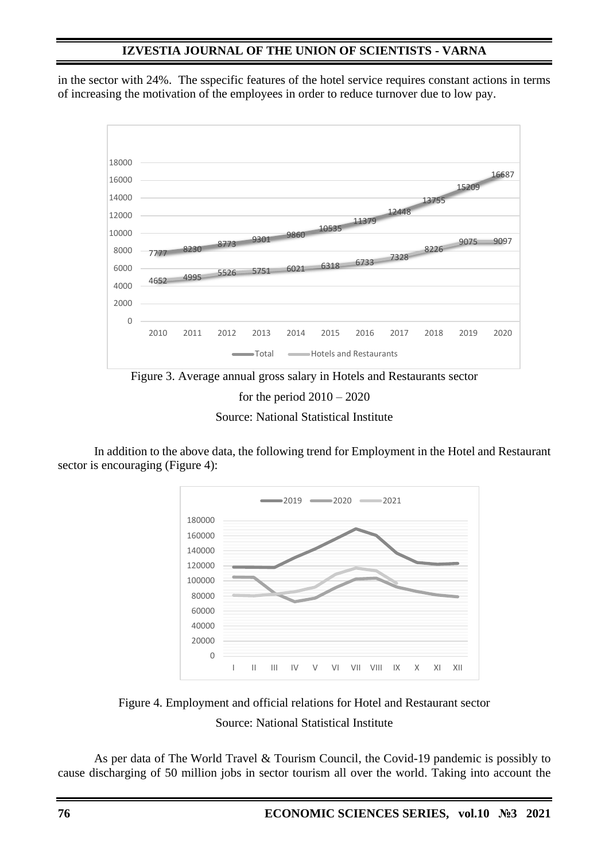in the sector with 24%. The sspecific features of the hotel service requires constant actions in terms of increasing the motivation of the employees in order to reduce turnover due to low pay.



for the period  $2010 - 2020$ 

Source: National Statistical Institute

In addition to the above data, the following trend for Employment in the Hotel and Restaurant sector is encouraging (Figure 4):



Figure 4. Employment and official relations for Hotel and Restaurant sector Source: National Statistical Institute

As per data of The World Travel & Tourism Council, the Covid-19 pandemic is possibly to cause discharging of 50 million jobs in sector tourism all over the world. Taking into account the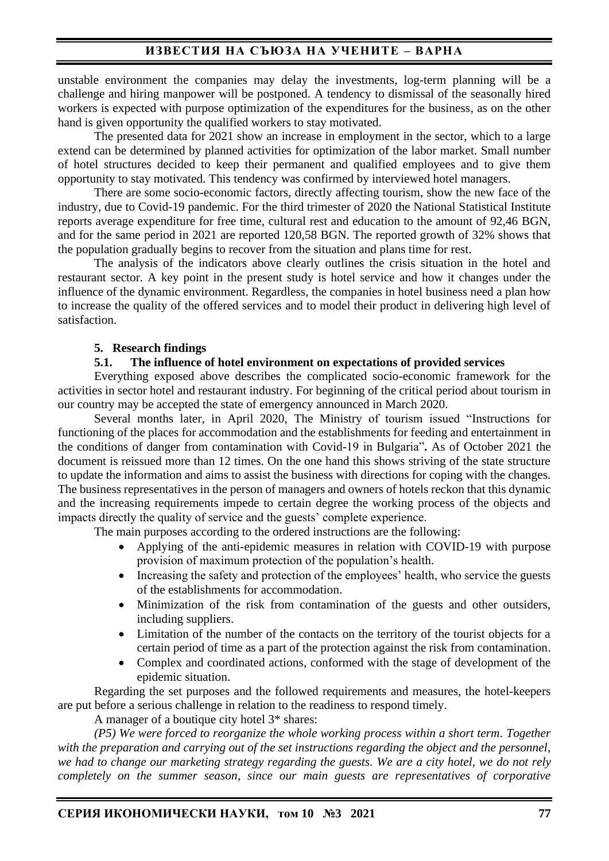unstable environment the companies may delay the investments, log-term planning will be a challenge and hiring manpower will be postponed. A tendency to dismissal of the seasonally hired workers is expected with purpose optimization of the expenditures for the business, as on the other hand is given opportunity the qualified workers to stay motivated.

The presented data for 2021 show an increase in employment in the sector, which to a large extend can be determined by planned activities for optimization of the labor market. Small number of hotel structures decided to keep their permanent and qualified employees and to give them opportunity to stay motivated. This tendency was confirmed by interviewed hotel managers.

There are some socio-economic factors, directly affecting tourism, show the new face of the industry, due to Covid-19 pandemic. For the third trimester of 2020 the National Statistical Institute reports average expenditure for free time, cultural rest and education to the amount of 92,46 BGN, and for the same period in 2021 are reported 120,58 BGN. The reported growth of 32% shows that the population gradually begins to recover from the situation and plans time for rest.

The analysis of the indicators above clearly outlines the crisis situation in the hotel and restaurant sector. A key point in the present study is hotel service and how it changes under the influence of the dynamic environment. Regardless, the companies in hotel business need a plan how to increase the quality of the offered services and to model their product in delivering high level of satisfaction.

#### **5. Research findings**

#### **5.1. The influence of hotel environment on expectations of provided services**

Everything exposed above describes the complicated socio-economic framework for the activities in sector hotel and restaurant industry. For beginning of the critical period about tourism in our country may be accepted the state of emergency announced in March 2020.

Several months later, in April 2020, The Ministry of tourism issued "Instructions for functioning of the places for accommodation and the establishments for feeding and entertainment in the conditions of danger from contamination with Covid-19 in Bulgaria"**.** As of October 2021 the document is reissued more than 12 times. On the one hand this shows striving of the state structure to update the information and aims to assist the business with directions for coping with the changes. The business representatives in the person of managers and owners of hotels reckon that this dynamic and the increasing requirements impede to certain degree the working process of the objects and impacts directly the quality of service and the guests' complete experience.

The main purposes according to the ordered instructions are the following:

- Applying of the anti-epidemic measures in relation with COVID-19 with purpose provision of maximum protection of the population's health.
- Increasing the safety and protection of the employees' health, who service the guests of the establishments for accommodation.
- Minimization of the risk from contamination of the guests and other outsiders, including suppliers.
- Limitation of the number of the contacts on the territory of the tourist objects for a certain period of time as a part of the protection against the risk from contamination.
- Complex and coordinated actions, conformed with the stage of development of the epidemic situation.

Regarding the set purposes and the followed requirements and measures, the hotel-keepers are put before a serious challenge in relation to the readiness to respond timely.

A manager of a boutique city hotel 3\* shares:

*(P5) We were forced to reorganize the whole working process within a short term. Together with the preparation and carrying out of the set instructions regarding the object and the personnel, we had to change our marketing strategy regarding the guests. We are a city hotel, we do not rely completely on the summer season, since our main guests are representatives of corporative*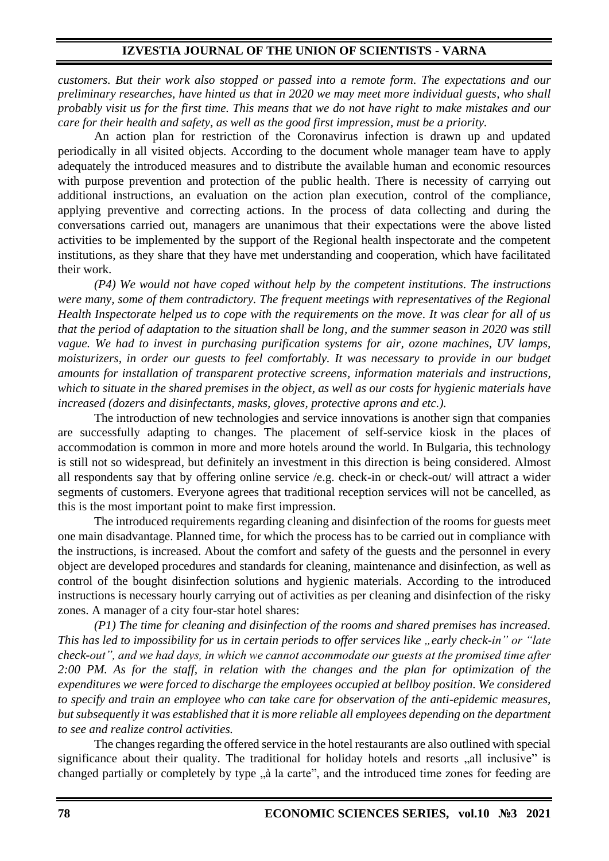*customers. But their work also stopped or passed into a remote form. The expectations and our preliminary researches, have hinted us that in 2020 we may meet more individual guests, who shall probably visit us for the first time. This means that we do not have right to make mistakes and our care for their health and safety, as well as the good first impression, must be a priority.* 

An action plan for restriction of the Coronavirus infection is drawn up and updated periodically in all visited objects. According to the document whole manager team have to apply adequately the introduced measures and to distribute the available human and economic resources with purpose prevention and protection of the public health. There is necessity of carrying out additional instructions, an evaluation on the action plan execution, control of the compliance, applying preventive and correcting actions. In the process of data collecting and during the conversations carried out, managers are unanimous that their expectations were the above listed activities to be implemented by the support of the Regional health inspectorate and the competent institutions, as they share that they have met understanding and cooperation, which have facilitated their work.

*(P4) We would not have coped without help by the competent institutions. The instructions were many, some of them contradictory. The frequent meetings with representatives of the Regional Health Inspectorate helped us to cope with the requirements on the move. It was clear for all of us that the period of adaptation to the situation shall be long, and the summer season in 2020 was still vague. We had to invest in purchasing purification systems for air, ozone machines, UV lamps, moisturizers, in order our guests to feel comfortably. It was necessary to provide in our budget amounts for installation of transparent protective screens, information materials and instructions, which to situate in the shared premises in the object, as well as our costs for hygienic materials have increased (dozers and disinfectants, masks, gloves, protective aprons and etc.).* 

The introduction of new technologies and service innovations is another sign that companies are successfully adapting to changes. The placement of self-service kiosk in the places of accommodation is common in more and more hotels around the world. In Bulgaria, this technology is still not so widespread, but definitely an investment in this direction is being considered. Almost all respondents say that by offering online service /e.g. check-in or check-out/ will attract a wider segments of customers. Everyone agrees that traditional reception services will not be cancelled, as this is the most important point to make first impression.

The introduced requirements regarding cleaning and disinfection of the rooms for guests meet one main disadvantage. Planned time, for which the process has to be carried out in compliance with the instructions, is increased. About the comfort and safety of the guests and the personnel in every object are developed procedures and standards for cleaning, maintenance and disinfection, as well as control of the bought disinfection solutions and hygienic materials. According to the introduced instructions is necessary hourly carrying out of activities as per cleaning and disinfection of the risky zones. A manager of a city four-star hotel shares:

*(P1) The time for cleaning and disinfection of the rooms and shared premises has increased. This has led to impossibility for us in certain periods to offer services like* "*early check-in*" or "late *check-out", and we had days, in which we cannot accommodate our guests at the promised time after 2:00 PM. As for the staff, in relation with the changes and the plan for optimization of the expenditures we were forced to discharge the employees occupied at bellboy position. We considered to specify and train an employee who can take care for observation of the anti-epidemic measures, but subsequently it was established that it is more reliable all employees depending on the department to see and realize control activities.*

The changes regarding the offered service in the hotel restaurants are also outlined with special significance about their quality. The traditional for holiday hotels and resorts "all inclusive" is changed partially or completely by type "a la carte", and the introduced time zones for feeding are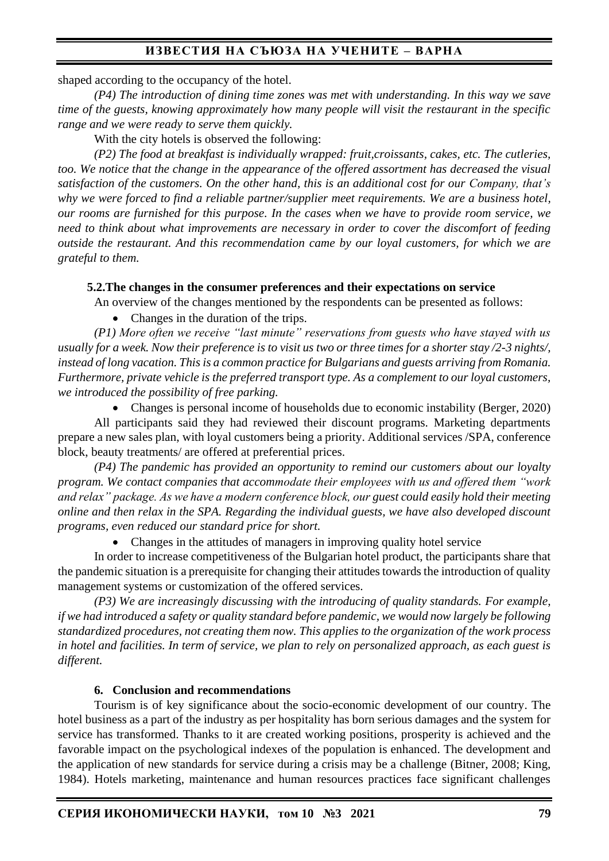shaped according to the occupancy of the hotel.

*(P4) The introduction of dining time zones was met with understanding. In this way we save time of the guests, knowing approximately how many people will visit the restaurant in the specific range and we were ready to serve them quickly.*

With the city hotels is observed the following:

*(P2) The food at breakfast is individually wrapped: fruit,croissants, cakes, etc. The cutleries, too. We notice that the change in the appearance of the offered assortment has decreased the visual satisfaction of the customers. On the other hand, this is an additional cost for our Company, that's why we were forced to find a reliable partner/supplier meet requirements. We are a business hotel, our rooms are furnished for this purpose. In the cases when we have to provide room service, we need to think about what improvements are necessary in order to cover the discomfort of feeding outside the restaurant. And this recommendation came by our loyal customers, for which we are grateful to them.* 

#### **5.2.The changes in the consumer preferences and their expectations on service**

An overview of the changes mentioned by the respondents can be presented as follows:

• Changes in the duration of the trips.

*(P1) More often we receive "last minute" reservations from guests who have stayed with us usually for a week. Now their preference is to visit us two or three times for a shorter stay /2-3 nights/, instead of long vacation. This is a common practice for Bulgarians and guests arriving from Romania. Furthermore, private vehicle is the preferred transport type. As a complement to our loyal customers, we introduced the possibility of free parking.*

• Changes is personal income of households due to economic instability (Berger, 2020) All participants said they had reviewed their discount programs. Marketing departments prepare a new sales plan, with loyal customers being a priority. Additional services /SPA, conference block, beauty treatments/ are offered at preferential prices.

*(P4) The pandemic has provided an opportunity to remind our customers about our loyalty program. We contact companies that accommodate their employees with us and offered them "work and relax" package. As we have a modern conference block, our guest could easily hold their meeting online and then relax in the SPA. Regarding the individual guests, we have also developed discount programs, even reduced our standard price for short.*

• Changes in the attitudes of managers in improving quality hotel service

In order to increase competitiveness of the Bulgarian hotel product, the participants share that the pandemic situation is a prerequisite for changing their attitudes towards the introduction of quality management systems or customization of the offered services.

*(P3) We are increasingly discussing with the introducing of quality standards. For example, if we had introduced a safety or quality standard before pandemic, we would now largely be following standardized procedures, not creating them now. This applies to the organization of the work process in hotel and facilities. In term of service, we plan to rely on personalized approach, as each guest is different.* 

#### **6. Conclusion and recommendations**

Tourism is of key significance about the socio-economic development of our country. The hotel business as a part of the industry as per hospitality has born serious damages and the system for service has transformed. Thanks to it are created working positions, prosperity is achieved and the favorable impact on the psychological indexes of the population is enhanced. The development and the application of new standards for service during a crisis may be a challenge (Bitner, 2008; King, 1984). Hotels marketing, maintenance and human resources practices face significant challenges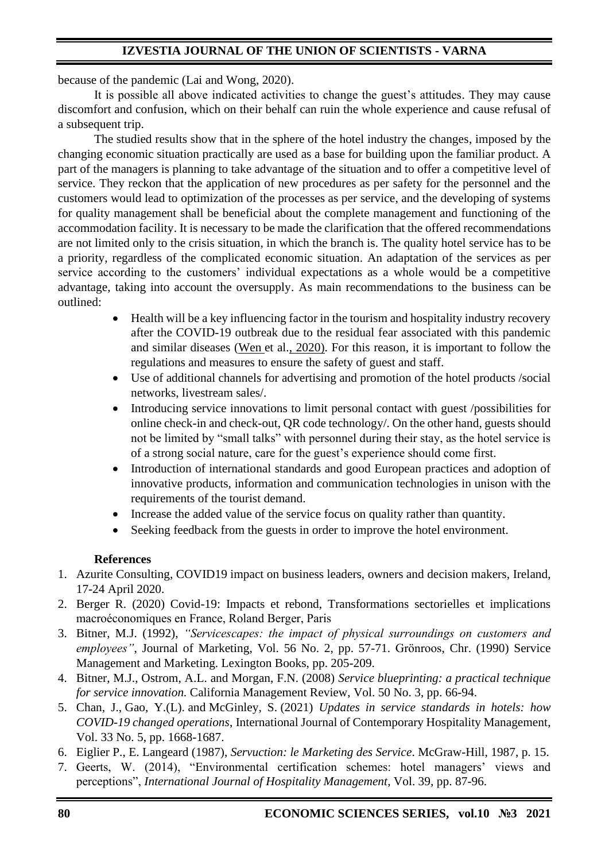because of the pandemic (Lai and Wong, 2020).

It is possible all above indicated activities to change the guest's attitudes. They may cause discomfort and confusion, which on their behalf can ruin the whole experience and cause refusal of a subsequent trip.

The studied results show that in the sphere of the hotel industry the changes, imposed by the changing economic situation practically are used as a base for building upon the familiar product. A part of the managers is planning to take advantage of the situation and to offer a competitive level of service. They reckon that the application of new procedures as per safety for the personnel and the customers would lead to optimization of the processes as per service, and the developing of systems for quality management shall be beneficial about the complete management and functioning of the accommodation facility. It is necessary to be made the clarification that the offered recommendations are not limited only to the crisis situation, in which the branch is. The quality hotel service has to be a priority, regardless of the complicated economic situation. An adaptation of the services as per service according to the customers' individual expectations as a whole would be a competitive advantage, taking into account the oversupply. As main recommendations to the business can be outlined:

- Health will be a key influencing factor in the tourism and hospitality industry recovery after the COVID-19 outbreak due to the residual fear associated with this pandemic and similar diseases (Wen et al., [2020\).](https://www.emerald.com/insight/content/doi/10.1108/IJCHM-03-2020-0237/full/html?casa_token=k-jCNOPRm2wAAAAA%3AM_a7WMLW2LDU6rzH4ryvut4r_YNLDtXHSc97sOPKHe3_1oW6PDI_O1dpGfUGC8OhYckDwI1zlw2fuym5P7d3QW4X3fFyngwZuPg_-NjBwtDUH4md9Oxz&utm_source=TrendMD&utm_medium=cpc&utm_campaign=International_Journal_of_Contemporary_Hospitality_Management_TrendMD_0&WT.mc_id=Emerald_TrendMD_0#ref049) For this reason, it is important to follow the regulations and measures to ensure the safety of guest and staff.
- Use of additional channels for advertising and promotion of the hotel products /social networks, livestream sales/.
- Introducing service innovations to limit personal contact with guest /possibilities for online check-in and check-out, QR code technology/. On the other hand, guests should not be limited by "small talks" with personnel during their stay, as the hotel service is of a strong social nature, care for the guest's experience should come first.
- Introduction of international standards and good European practices and adoption of innovative products, information and communication technologies in unison with the requirements of the tourist demand.
- Increase the added value of the service focus on quality rather than quantity.
- Seeking feedback from the guests in order to improve the hotel environment.

### **References**

- 1. Azurite Consulting, COVID19 impact on business leaders, owners and decision makers, Ireland, 17-24 April 2020.
- 2. Berger R. (2020) Covid-19: Impacts et rebond, Transformations sectorielles et implications macroéconomiques en France, Roland Berger, Paris
- 3. Bitner, M.J. (1992), *"Servicescapes: the impact of physical surroundings on customers and employees"*, Journal of Marketing, Vol. 56 No. 2, pp. 57-71. Grönroos, Chr. (1990) Service Management and Marketing. Lexington Books, pp. 205-209.
- 4. Bitner, M.J., Ostrom, A.L. and Morgan, F.N. (2008) *Service blueprinting: a practical technique for service innovation.* California Management Review, Vol. 50 No. 3, pp. 66-94.
- 5. [Chan, J.,](https://www.emerald.com/insight/search?q=Janelle%20Chan) [Gao, Y.\(L\).](https://www.emerald.com/insight/search?q=Yixing%20(Lisa)%20Gao) and [McGinley, S.](https://www.emerald.com/insight/search?q=Sean%20McGinley) (2021) *Updates in service standards in hotels: how COVID-19 changed operations*, [International Journal of Contemporary Hospitality Management,](https://www.emerald.com/insight/publication/issn/0959-6119) Vol. 33 No. 5, pp. 1668-1687.
- 6. Eiglier P., E. Langeard (1987), *Servuction: le Marketing des Service*. McGraw-Hill, 1987, p. 15.
- 7. Geerts, W. (2014), "Environmental certification schemes: hotel managers' views and perceptions", *International Journal of Hospitality Management*, Vol. 39, pp. 87-96.